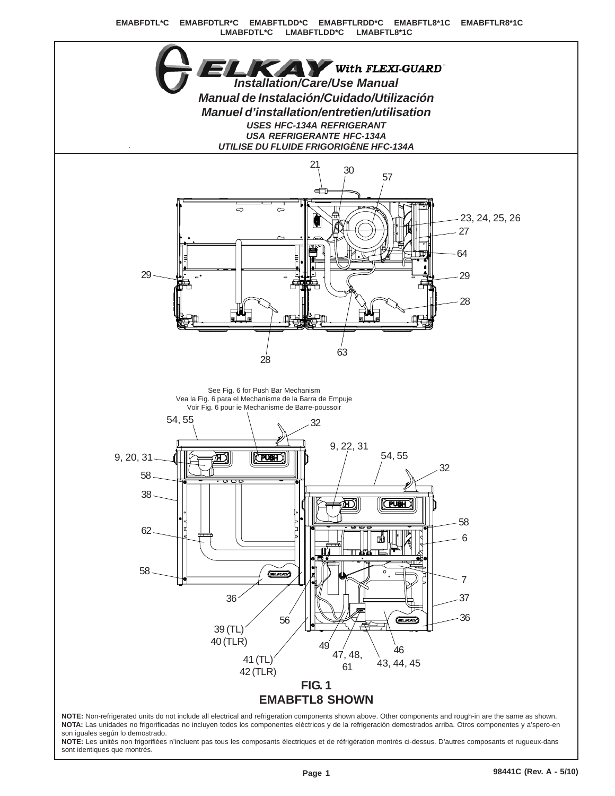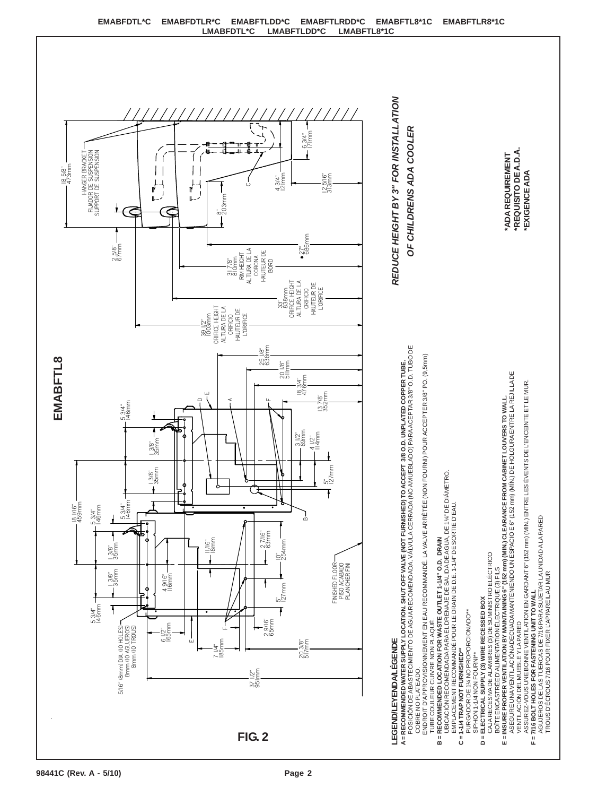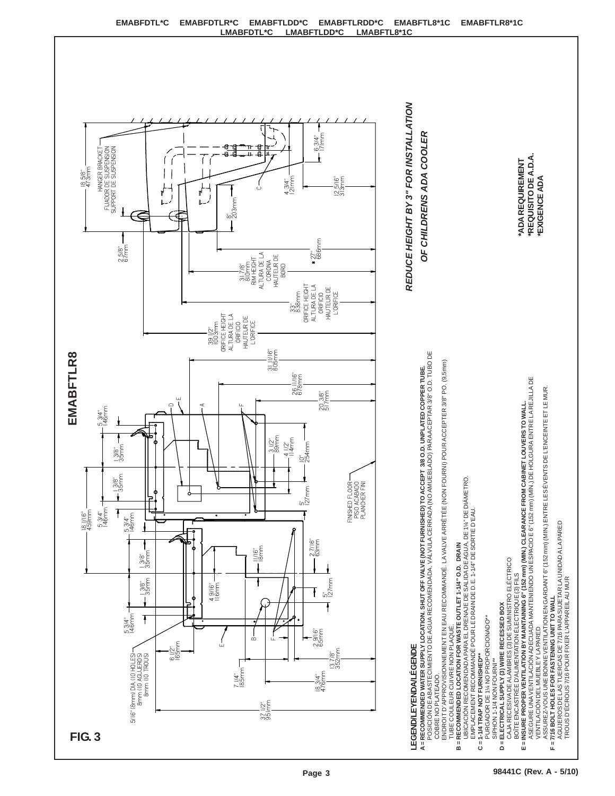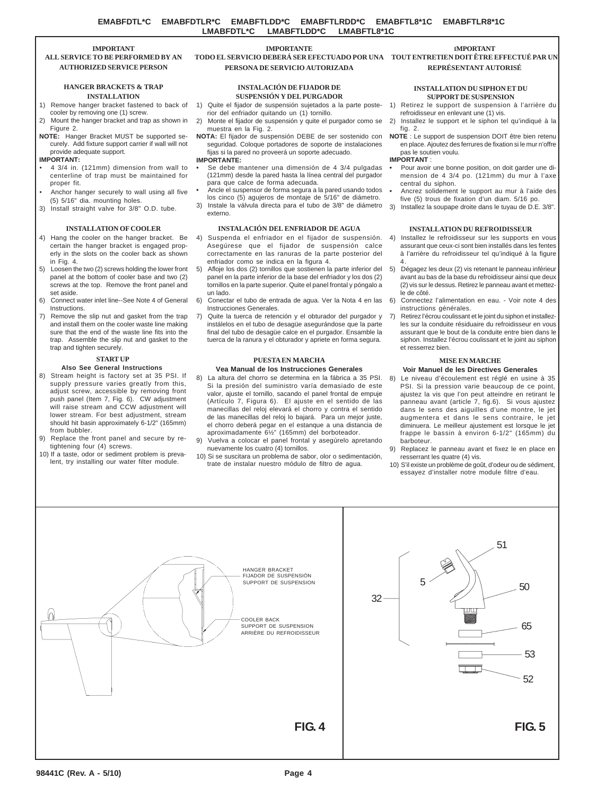### **IMPORTANT ALL SERVICE TO BE PERFORMED BY AN AUTHORIZED SERVICE PERSON**

### **HANGER BRACKETS & TRAP INSTALLATION**

- 1) Remove hanger bracket fastened to back of cooler by removing one (1) screw.
- 2) Mount the hanger bracket and trap as shown in Figure 2.
- **NOTE:** Hanger Bracket MUST be supported securely. Add fixture support carrier if wall will not provide adequate support.

### **IMPORTANT:**

- 4 3/4 in. (121mm) dimension from wall to centerline of trap must be maintained for proper fit.
- Anchor hanger securely to wall using all five (5) 5/16" dia. mounting holes.
- 3) Install straight valve for 3/8" O.D. tube.

# **INSTALLATION OF COOLER**

- 4) Hang the cooler on the hanger bracket. Be certain the hanger bracket is engaged properly in the slots on the cooler back as shown in Fig. 4.
- 5) Loosen the two (2) screws holding the lower front panel at the bottom of cooler base and two (2) screws at the top. Remove the front panel and set aside.
- 6) Connect water inlet line--See Note 4 of General Instructions.
- 7) Remove the slip nut and gasket from the trap and install them on the cooler waste line making sure that the end of the waste line fits into the trap. Assemble the slip nut and gasket to the trap and tighten securely.

# **START UP**

### **Also See General Instructions**

- 8) Stream height is factory set at 35 PSI. If supply pressure varies greatly from this, adjust screw, accessible by removing front push panel (Item 7, Fig. 6). CW adjustment will raise stream and CCW adjustment will lower stream. For best adjustment, stream should hit basin approximately 6-1/2" (165mm) from bubbler.
- 9) Replace the front panel and secure by retightening four (4) screws.
- 10) If a taste, odor or sediment problem is prevalent, try installing our water filter module.

# **IMPORTANTE TODO EL SERVICIO DEBERÁ SER EFECTUADO POR UNA TOUT ENTRETIEN DOIT ÊTRE EFFECTUÉ PAR UN PERSONA DE SERVICIO AUTORIZADA**

## **INSTALACIÓN DE FIJADOR DE SUSPENSIÓN Y DEL PURGADOR**

#### 1) Quite el fijador de suspensión sujetados a la parte posterior del enfriador quitando un (1) tornillo.

- 2) Monte el fijador de suspensión y quite el purgador como se
- **NOTA:** El fijador de suspensión DEBE de ser sostenido con seguridad. Coloque portadores de soporte de instalaciones fijas si la pared no proveerá un soporte adecuado.

- **•** Se debe mantener una dimensión de 4 3/4 pulgadas (121mm) desde la pared hasta la línea central del purgador para que calce de forma adecuada.
- **•** Ancle el suspensor de forma segura a la pared usando todos los cinco (5) agujeros de montaje de 5/16" de diámetro.
- 3) Instale la válvula directa para el tubo de  $3/8$ " de diámetro  $3$ ) externo.

# **INSTALACIÓN DEL ENFRIADOR DE AGUA**

- 4) Suspenda el enfriador en el fijador de suspensión. Asegúrese que el fijador de suspensión calce correctamente en las ranuras de la parte posterior del enfriador como se indica en la figura 4.
- 5) Afloje los dos (2) tornillos que sostienen la parte inferior del 5) Dégagez les deux (2) vis retenant le panneau inférieur panel en la parte inferior de la base del enfriador y los dos (2) tornillos en la parte superior. Quite el panel frontal y póngalo a un lado.
- 6) Conectar el tubo de entrada de agua. Ver la Nota 4 en las Instrucciones Generales.
- Quite la tuerca de retención y el obturador del purgador y instálelos en el tubo de desagüe asegurándose que la parte final del tubo de desagüe calce en el purgador. Ensamble la tuerca de la ranura y el obturador y apriete en forma segura.

# **PUESTA EN MARCHA**

# **Vea Manual de los Instrucciones Generales**

- 8) La altura del chorro se determina en la fábrica a 35 PSI. Si la presión del suministro varía demasiado de este valor, ajuste el tornillo, sacando el panel frontal de empuje (Artículo 7, Figura 6). El ajuste en el sentido de las manecillas del reloj elevará el chorro y contra el sentido de las manecillas del reloj lo bajará. Para un mejor juste, el chorro deberá pegar en el estanque a una distancia de aproximadamente 6½" (165mm) del borboteador.
- 9) Vuelva a colocar el panel frontal y asegúrelo apretando nuevamente los cuatro (4) tornillos.
- 10) Si se suscitara un problema de sabor, olor o sedimentación, trate de instalar nuestro módulo de filtro de agua.



# **REPRÉSENTANT AUTORISÉ**

### **INSTALLATION DU SIPHON ET DU SUPPORT DE SUSPENSION**

- 1) Retirez le support de suspension à l'arrière du
- refroidisseur en enlevant une (1) vis. 2) Installez le support et le siphon tel qu'indiqué à la
- fig. 2. **NOTE** : Le support de suspension DOIT être bien retenu en place. Ajoutez des ferrures de fixation si le mur n'offre

#### pas le soutien voulu. **IMPORTANT** :

- **•** Pour avoir une bonne position, on doit garder une dimension de 4 3/4 po. (121mm) du mur à l'axe central du siphon.
- **•** Ancrez solidement le support au mur à l'aide des five (5) trous de fixation d'un diam. 5/16 po.
- Installez la soupape droite dans le tuyau de D.E. 3/8".

# **INSTALLATION DU REFROIDISSEUR**

- 4) Installez le refroidisseur sur les supports en vous assurant que ceux-ci sont bien installés dans les fentes à l'arrière du refroidisseur tel qu'indiqué à la figure 4.
- avant au bas de la base du refroidisseur ainsi que deux (2) vis sur le dessus. Retirez le panneau avant et mettezle de côté.
- 6) Connectez l'alimentation en eau. Voir note 4 des instructions générales.
- Retirez l'écrou coulissant et le joint du siphon et installezles sur la conduite résiduaire du refroidisseur en vous assurant que le bout de la conduite entre bien dans le siphon. Installez l'écrou coulissant et le joint au siphon et resserrez bien.

## **MISE EN MARCHE**

# **Voir Manuel de les Directives Generales**

- Le niveau d'écoulement est réglé en usine à 35 PSI. Si la pression varie beaucoup de ce point, ajustez la vis que l'on peut atteindre en retirant le panneau avant (article 7, fig.6). Si vous ajustez dans le sens des aiguilles d'une montre, le jet augmentera et dans le sens contraire, le jet diminuera. Le meilleur ajustement est lorsque le jet frappe le bassin à environ 6-1/2" (165mm) du barboteur.
- 9) Replacez le panneau avant et fixez le en place en resserrant les quatre (4) vis.
- 10) S'il existe un problème de goût, d'odeur ou de sédiment, essayez d'installer notre module filtre d'eau.



muestra en la Fig. 2.

### **IMPORTANTE:**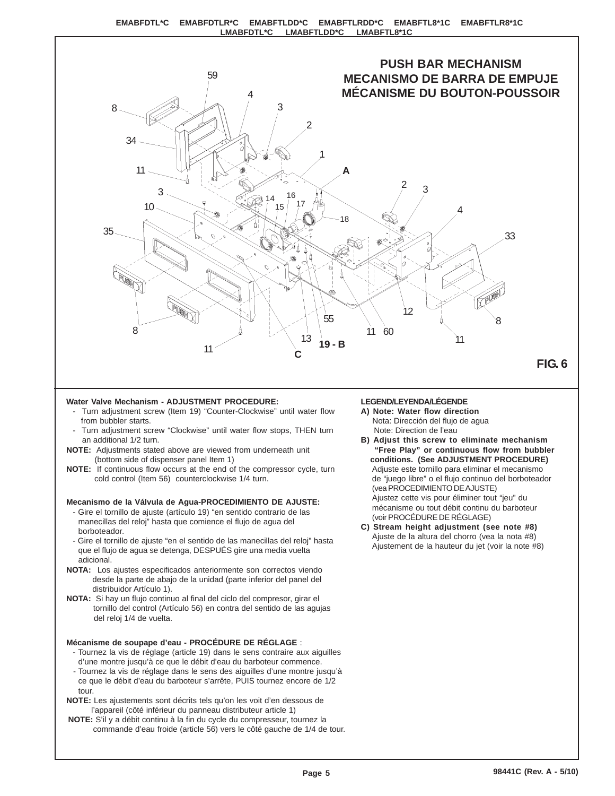

# **Water Valve Mechanism - ADJUSTMENT PROCEDURE:**

- Turn adjustment screw (Item 19) "Counter-Clockwise" until water flow from bubbler starts.
- Turn adjustment screw "Clockwise" until water flow stops, THEN turn an additional 1/2 turn.
- **NOTE:** Adjustments stated above are viewed from underneath unit (bottom side of dispenser panel Item 1)
- **NOTE:** If continuous flow occurs at the end of the compressor cycle, turn cold control (Item 56) counterclockwise 1/4 turn.

# **Mecanismo de la Válvula de Agua-PROCEDIMIENTO DE AJUSTE:**

- Gire el tornillo de ajuste (artículo 19) "en sentido contrario de las manecillas del reloj" hasta que comience el flujo de agua del borboteador.
- Gire el tornillo de ajuste "en el sentido de las manecillas del reloj" hasta que el flujo de agua se detenga, DESPUÉS gire una media vuelta adicional.
- **NOTA:** Los ajustes especificados anteriormente son correctos viendo desde la parte de abajo de la unidad (parte inferior del panel del distribuidor Artículo 1).
- **NOTA:** Si hay un flujo continuo al final del ciclo del compresor, girar el tornillo del control (Artículo 56) en contra del sentido de las agujas del reloj 1/4 de vuelta.

# **Mécanisme de soupape d'eau - PROCÉDURE DE RÉGLAGE** :

- Tournez la vis de réglage (article 19) dans le sens contraire aux aiguilles d'une montre jusqu'à ce que le débit d'eau du barboteur commence.
- Tournez la vis de réglage dans le sens des aiguilles d'une montre jusqu'à ce que le débit d'eau du barboteur s'arrête, PUIS tournez encore de 1/2 tour.
- **NOTE:** Les ajustements sont décrits tels qu'on les voit d'en dessous de l'appareil (côté inférieur du panneau distributeur article 1)
- **NOTE:** S'il y a débit continu à la fin du cycle du compresseur, tournez la commande d'eau froide (article 56) vers le côté gauche de 1/4 de tour.

# **LEGEND/LEYENDA/LÉGENDE**

- **A) Note: Water flow direction** Nota: Dirección del flujo de agua Note: Direction de l'eau
- **B) Adjust this screw to eliminate mechanism "Free Play" or continuous flow from bubbler conditions. (See ADJUSTMENT PROCEDURE)** Adjuste este tornillo para eliminar el mecanismo de "juego libre" o el flujo continuo del borboteador (vea PROCEDIMIENTO DE AJUSTE) Ajustez cette vis pour éliminer tout "jeu" du mécanisme ou tout débit continu du barboteur (voir PROCÉDURE DE RÉGLAGE)
- **C) Stream height adjustment (see note #8)** Ajuste de la altura del chorro (vea la nota #8) Ajustement de la hauteur du jet (voir la note #8)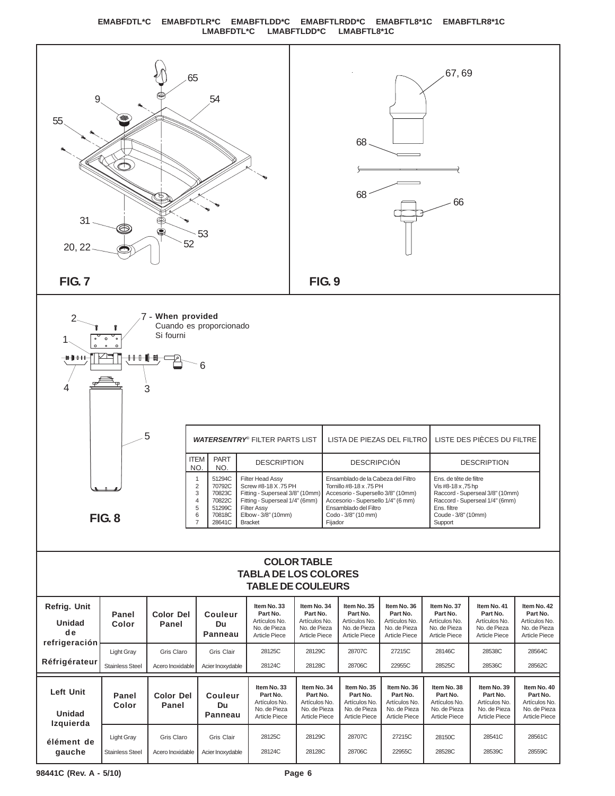# **EMABFDTL\*C EMABFDTLR\*C EMABFTLDD\*C EMABFTLRDD\*C EMABFTL8\*1C EMABFTLR8\*1C LMABFDTL\*C LMABFTLDD\*C LMABFTL8\*1C**



**gauche**

Stainless Steel

28128C

28706C

28539C

28559C

28528C

22955C

28124C

Acier Inoxydable

Acero Inoxidable